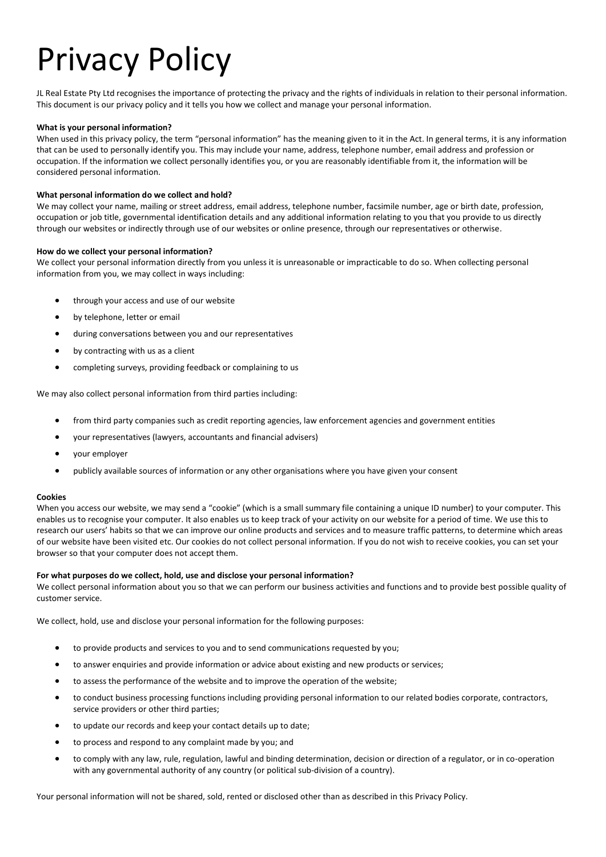# Privacy Policy

JL Real Estate Pty Ltd recognises the importance of protecting the privacy and the rights of individuals in relation to their personal information. This document is our privacy policy and it tells you how we collect and manage your personal information.

## **What is your personal information?**

When used in this privacy policy, the term "personal information" has the meaning given to it in the Act. In general terms, it is any information that can be used to personally identify you. This may include your name, address, telephone number, email address and profession or occupation. If the information we collect personally identifies you, or you are reasonably identifiable from it, the information will be considered personal information.

## **What personal information do we collect and hold?**

We may collect your name, mailing or street address, email address, telephone number, facsimile number, age or birth date, profession, occupation or job title, governmental identification details and any additional information relating to you that you provide to us directly through our websites or indirectly through use of our websites or online presence, through our representatives or otherwise.

## **How do we collect your personal information?**

We collect your personal information directly from you unless it is unreasonable or impracticable to do so. When collecting personal information from you, we may collect in ways including:

- through your access and use of our website
- by telephone, letter or email
- during conversations between you and our representatives
- by contracting with us as a client
- completing surveys, providing feedback or complaining to us

We may also collect personal information from third parties including:

- from third party companies such as credit reporting agencies, law enforcement agencies and government entities
- your representatives (lawyers, accountants and financial advisers)
- your employer
- publicly available sources of information or any other organisations where you have given your consent

### **Cookies**

When you access our website, we may send a "cookie" (which is a small summary file containing a unique ID number) to your computer. This enables us to recognise your computer. It also enables us to keep track of your activity on our website for a period of time. We use this to research our users' habits so that we can improve our online products and services and to measure traffic patterns, to determine which areas of our website have been visited etc. Our cookies do not collect personal information. If you do not wish to receive cookies, you can set your browser so that your computer does not accept them.

## **For what purposes do we collect, hold, use and disclose your personal information?**

We collect personal information about you so that we can perform our business activities and functions and to provide best possible quality of customer service.

We collect, hold, use and disclose your personal information for the following purposes:

- to provide products and services to you and to send communications requested by you;
- to answer enquiries and provide information or advice about existing and new products or services;
- to assess the performance of the website and to improve the operation of the website;
- to conduct business processing functions including providing personal information to our related bodies corporate, contractors, service providers or other third parties;
- to update our records and keep your contact details up to date;
- to process and respond to any complaint made by you; and
- to comply with any law, rule, regulation, lawful and binding determination, decision or direction of a regulator, or in co-operation with any governmental authority of any country (or political sub-division of a country).

Your personal information will not be shared, sold, rented or disclosed other than as described in this Privacy Policy.